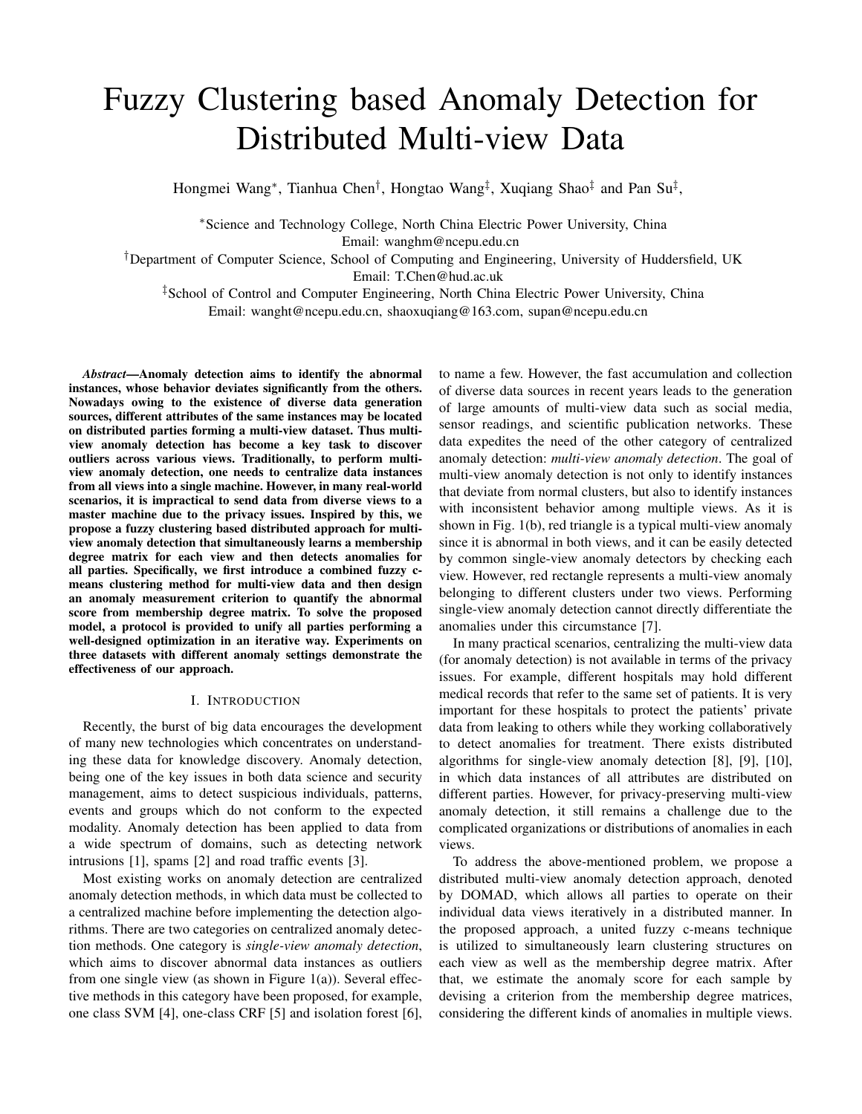# Fuzzy Clustering based Anomaly Detection for Distributed Multi-view Data

Hongmei Wang\*, Tianhua Chen<sup>†</sup>, Hongtao Wang<sup>‡</sup>, Xuqiang Shao<sup>‡</sup> and Pan Su<sup>‡</sup>,

<sup>∗</sup>Science and Technology College, North China Electric Power University, China Email: wanghm@ncepu.edu.cn

†Department of Computer Science, School of Computing and Engineering, University of Huddersfield, UK Email: T.Chen@hud.ac.uk

‡School of Control and Computer Engineering, North China Electric Power University, China Email: wanght@ncepu.edu.cn, shaoxuqiang@163.com, supan@ncepu.edu.cn

*Abstract*—Anomaly detection aims to identify the abnormal instances, whose behavior deviates significantly from the others. Nowadays owing to the existence of diverse data generation sources, different attributes of the same instances may be located on distributed parties forming a multi-view dataset. Thus multiview anomaly detection has become a key task to discover outliers across various views. Traditionally, to perform multiview anomaly detection, one needs to centralize data instances from all views into a single machine. However, in many real-world scenarios, it is impractical to send data from diverse views to a master machine due to the privacy issues. Inspired by this, we propose a fuzzy clustering based distributed approach for multiview anomaly detection that simultaneously learns a membership degree matrix for each view and then detects anomalies for all parties. Specifically, we first introduce a combined fuzzy cmeans clustering method for multi-view data and then design an anomaly measurement criterion to quantify the abnormal score from membership degree matrix. To solve the proposed model, a protocol is provided to unify all parties performing a well-designed optimization in an iterative way. Experiments on three datasets with different anomaly settings demonstrate the effectiveness of our approach.

## I. INTRODUCTION

Recently, the burst of big data encourages the development of many new technologies which concentrates on understanding these data for knowledge discovery. Anomaly detection, being one of the key issues in both data science and security management, aims to detect suspicious individuals, patterns, events and groups which do not conform to the expected modality. Anomaly detection has been applied to data from a wide spectrum of domains, such as detecting network intrusions [1], spams [2] and road traffic events [3].

Most existing works on anomaly detection are centralized anomaly detection methods, in which data must be collected to a centralized machine before implementing the detection algorithms. There are two categories on centralized anomaly detection methods. One category is *single-view anomaly detection*, which aims to discover abnormal data instances as outliers from one single view (as shown in Figure 1(a)). Several effective methods in this category have been proposed, for example, one class SVM [4], one-class CRF [5] and isolation forest [6],

to name a few. However, the fast accumulation and collection of diverse data sources in recent years leads to the generation of large amounts of multi-view data such as social media, sensor readings, and scientific publication networks. These data expedites the need of the other category of centralized anomaly detection: *multi-view anomaly detection*. The goal of multi-view anomaly detection is not only to identify instances that deviate from normal clusters, but also to identify instances with inconsistent behavior among multiple views. As it is shown in Fig. 1(b), red triangle is a typical multi-view anomaly since it is abnormal in both views, and it can be easily detected by common single-view anomaly detectors by checking each view. However, red rectangle represents a multi-view anomaly belonging to different clusters under two views. Performing single-view anomaly detection cannot directly differentiate the anomalies under this circumstance [7].

In many practical scenarios, centralizing the multi-view data (for anomaly detection) is not available in terms of the privacy issues. For example, different hospitals may hold different medical records that refer to the same set of patients. It is very important for these hospitals to protect the patients' private data from leaking to others while they working collaboratively to detect anomalies for treatment. There exists distributed algorithms for single-view anomaly detection [8], [9], [10], in which data instances of all attributes are distributed on different parties. However, for privacy-preserving multi-view anomaly detection, it still remains a challenge due to the complicated organizations or distributions of anomalies in each views.

To address the above-mentioned problem, we propose a distributed multi-view anomaly detection approach, denoted by DOMAD, which allows all parties to operate on their individual data views iteratively in a distributed manner. In the proposed approach, a united fuzzy c-means technique is utilized to simultaneously learn clustering structures on each view as well as the membership degree matrix. After that, we estimate the anomaly score for each sample by devising a criterion from the membership degree matrices, considering the different kinds of anomalies in multiple views.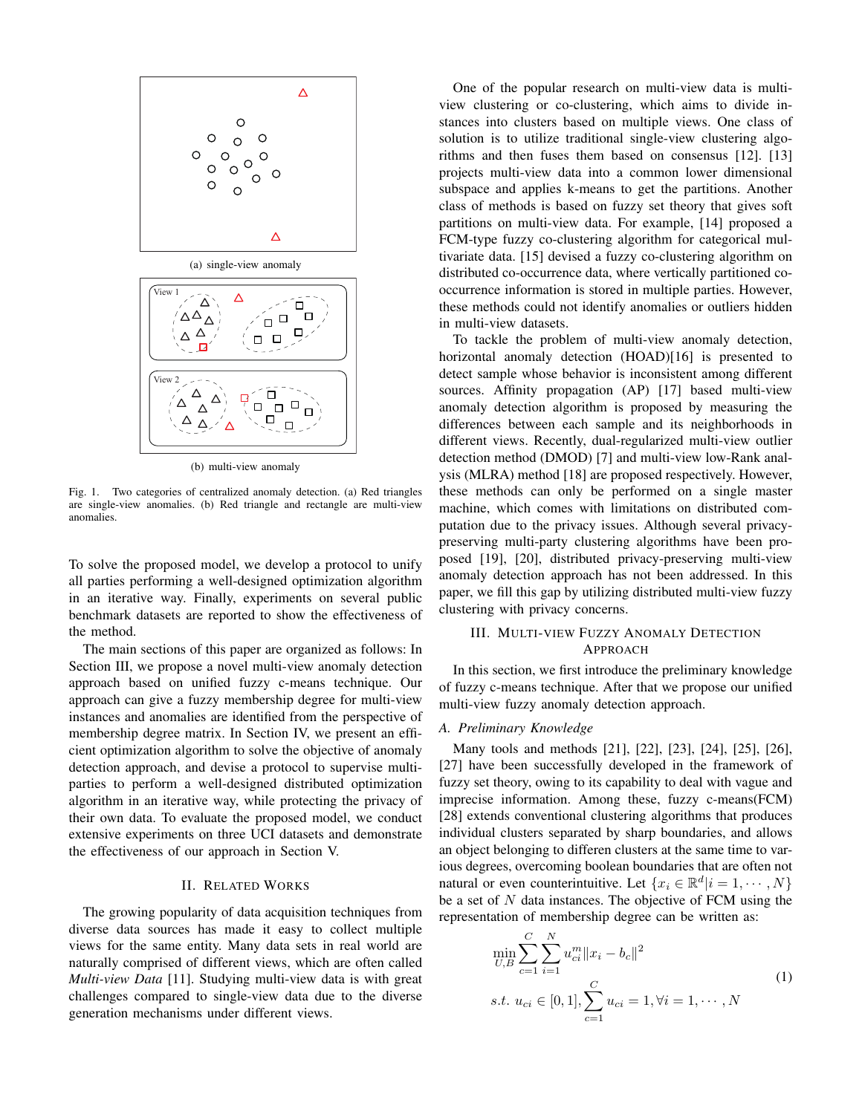

(b) multi-view anomaly

Fig. 1. Two categories of centralized anomaly detection. (a) Red triangles are single-view anomalies. (b) Red triangle and rectangle are multi-view anomalies.

To solve the proposed model, we develop a protocol to unify all parties performing a well-designed optimization algorithm in an iterative way. Finally, experiments on several public benchmark datasets are reported to show the effectiveness of the method.

The main sections of this paper are organized as follows: In Section III, we propose a novel multi-view anomaly detection approach based on unified fuzzy c-means technique. Our approach can give a fuzzy membership degree for multi-view instances and anomalies are identified from the perspective of membership degree matrix. In Section IV, we present an efficient optimization algorithm to solve the objective of anomaly detection approach, and devise a protocol to supervise multiparties to perform a well-designed distributed optimization algorithm in an iterative way, while protecting the privacy of their own data. To evaluate the proposed model, we conduct extensive experiments on three UCI datasets and demonstrate the effectiveness of our approach in Section V.

# II. RELATED WORKS

The growing popularity of data acquisition techniques from diverse data sources has made it easy to collect multiple views for the same entity. Many data sets in real world are naturally comprised of different views, which are often called *Multi-view Data* [11]. Studying multi-view data is with great challenges compared to single-view data due to the diverse generation mechanisms under different views.

One of the popular research on multi-view data is multiview clustering or co-clustering, which aims to divide instances into clusters based on multiple views. One class of solution is to utilize traditional single-view clustering algorithms and then fuses them based on consensus [12]. [13] projects multi-view data into a common lower dimensional subspace and applies k-means to get the partitions. Another class of methods is based on fuzzy set theory that gives soft partitions on multi-view data. For example, [14] proposed a FCM-type fuzzy co-clustering algorithm for categorical multivariate data. [15] devised a fuzzy co-clustering algorithm on distributed co-occurrence data, where vertically partitioned cooccurrence information is stored in multiple parties. However, these methods could not identify anomalies or outliers hidden in multi-view datasets.

To tackle the problem of multi-view anomaly detection, horizontal anomaly detection (HOAD)[16] is presented to detect sample whose behavior is inconsistent among different sources. Affinity propagation (AP) [17] based multi-view anomaly detection algorithm is proposed by measuring the differences between each sample and its neighborhoods in different views. Recently, dual-regularized multi-view outlier detection method (DMOD) [7] and multi-view low-Rank analysis (MLRA) method [18] are proposed respectively. However, these methods can only be performed on a single master machine, which comes with limitations on distributed computation due to the privacy issues. Although several privacypreserving multi-party clustering algorithms have been proposed [19], [20], distributed privacy-preserving multi-view anomaly detection approach has not been addressed. In this paper, we fill this gap by utilizing distributed multi-view fuzzy clustering with privacy concerns.

# III. MULTI-VIEW FUZZY ANOMALY DETECTION APPROACH

In this section, we first introduce the preliminary knowledge of fuzzy c-means technique. After that we propose our unified multi-view fuzzy anomaly detection approach.

# *A. Preliminary Knowledge*

Many tools and methods [21], [22], [23], [24], [25], [26], [27] have been successfully developed in the framework of fuzzy set theory, owing to its capability to deal with vague and imprecise information. Among these, fuzzy c-means(FCM) [28] extends conventional clustering algorithms that produces individual clusters separated by sharp boundaries, and allows an object belonging to differen clusters at the same time to various degrees, overcoming boolean boundaries that are often not natural or even counterintuitive. Let  $\{x_i \in \mathbb{R}^d | i = 1, \cdots, N\}$ be a set of  $N$  data instances. The objective of FCM using the representation of membership degree can be written as:

$$
\min_{U,B} \sum_{c=1}^{C} \sum_{i=1}^{N} u_{ci}^{m} ||x_i - b_c||^2
$$
\n
$$
s.t. \ u_{ci} \in [0,1], \sum_{c=1}^{C} u_{ci} = 1, \forall i = 1, \cdots, N
$$
\n(1)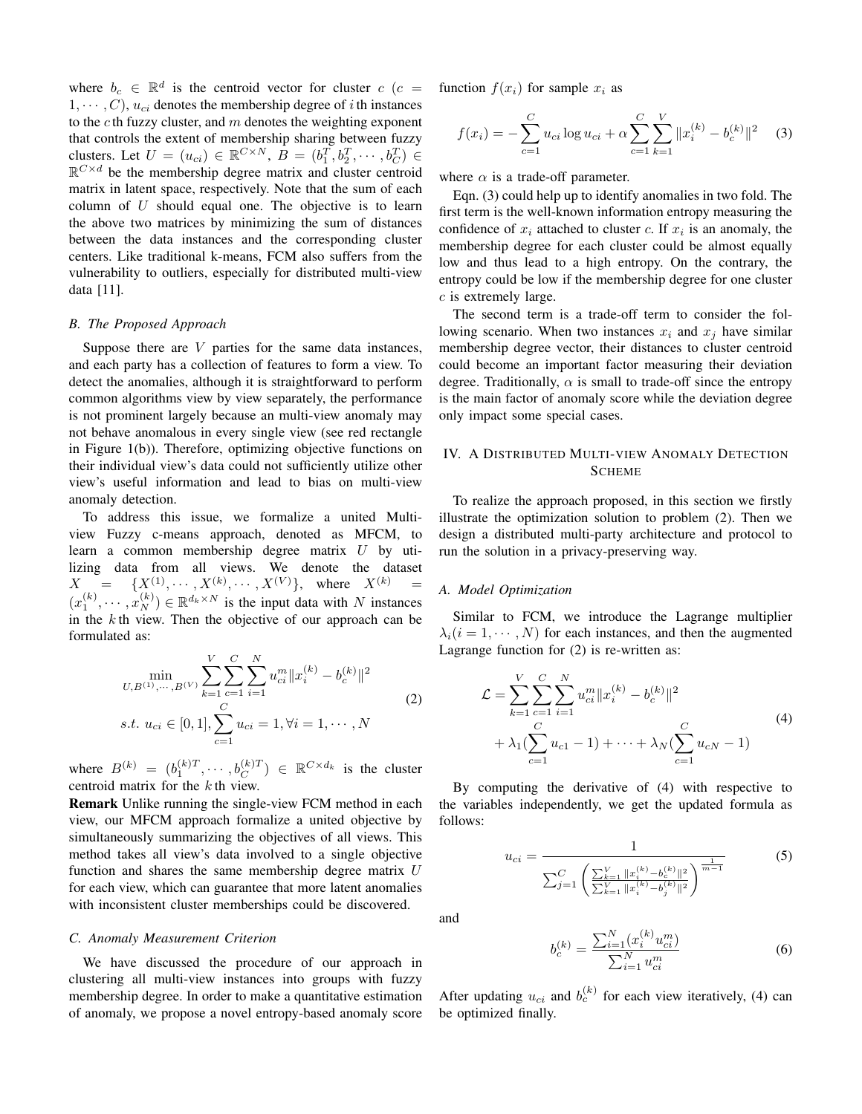where  $b_c \in \mathbb{R}^d$  is the centroid vector for cluster  $c$  ( $c =$  $1, \dots, C$ ,  $u_{ci}$  denotes the membership degree of i th instances to the  $c$  th fuzzy cluster, and  $m$  denotes the weighting exponent that controls the extent of membership sharing between fuzzy clusters. Let  $U = (u_{ci}) \in \mathbb{R}^{C \times N}$ ,  $\hat{B} = (b_1^T, b_2^T, \dots, b_C^T) \in$  $\mathbb{R}^{C \times d}$  be the membership degree matrix and cluster centroid matrix in latent space, respectively. Note that the sum of each column of  $U$  should equal one. The objective is to learn the above two matrices by minimizing the sum of distances between the data instances and the corresponding cluster centers. Like traditional k-means, FCM also suffers from the vulnerability to outliers, especially for distributed multi-view data [11].

## *B. The Proposed Approach*

Suppose there are  $V$  parties for the same data instances, and each party has a collection of features to form a view. To detect the anomalies, although it is straightforward to perform common algorithms view by view separately, the performance is not prominent largely because an multi-view anomaly may not behave anomalous in every single view (see red rectangle in Figure 1(b)). Therefore, optimizing objective functions on their individual view's data could not sufficiently utilize other view's useful information and lead to bias on multi-view anomaly detection.

To address this issue, we formalize a united Multiview Fuzzy c-means approach, denoted as MFCM, to learn a common membership degree matrix  $U$  by utilizing data from all views. We denote the dataset  $X = \{X^{(1)}, \cdots, X^{(k)}, \cdots, X^{(V)}\}, \text{ where } X^{(k)} =$  $(x_1^{(k)}, \dots, x_N^{(k)}) \in \mathbb{R}^{d_k \times N}$  is the input data with N instances in the  $k$  th view. Then the objective of our approach can be formulated as:

$$
\min_{U, B^{(1)}, \dots, B^{(V)}} \sum_{k=1}^{V} \sum_{c=1}^{C} \sum_{i=1}^{N} u_{ci}^{m} ||x_i^{(k)} - b_c^{(k)}||^2
$$
\n
$$
s.t. u_{ci} \in [0, 1], \sum_{c=1}^{C} u_{ci} = 1, \forall i = 1, \dots, N
$$
\n(2)

where  $B^{(k)} = (b_1^{(k)T}, \dots, b_C^{(k)T}) \in \mathbb{R}^{C \times d_k}$  is the cluster centroid matrix for the  $k$  th view.

Remark Unlike running the single-view FCM method in each view, our MFCM approach formalize a united objective by simultaneously summarizing the objectives of all views. This method takes all view's data involved to a single objective function and shares the same membership degree matrix U for each view, which can guarantee that more latent anomalies with inconsistent cluster memberships could be discovered.

#### *C. Anomaly Measurement Criterion*

We have discussed the procedure of our approach in clustering all multi-view instances into groups with fuzzy membership degree. In order to make a quantitative estimation of anomaly, we propose a novel entropy-based anomaly score function  $f(x_i)$  for sample  $x_i$  as

$$
f(x_i) = -\sum_{c=1}^{C} u_{ci} \log u_{ci} + \alpha \sum_{c=1}^{C} \sum_{k=1}^{V} ||x_i^{(k)} - b_c^{(k)}||^2
$$
 (3)

where  $\alpha$  is a trade-off parameter.

Eqn. (3) could help up to identify anomalies in two fold. The first term is the well-known information entropy measuring the confidence of  $x_i$  attached to cluster c. If  $x_i$  is an anomaly, the membership degree for each cluster could be almost equally low and thus lead to a high entropy. On the contrary, the entropy could be low if the membership degree for one cluster c is extremely large.

The second term is a trade-off term to consider the following scenario. When two instances  $x_i$  and  $x_j$  have similar membership degree vector, their distances to cluster centroid could become an important factor measuring their deviation degree. Traditionally,  $\alpha$  is small to trade-off since the entropy is the main factor of anomaly score while the deviation degree only impact some special cases.

# IV. A DISTRIBUTED MULTI-VIEW ANOMALY DETECTION SCHEME

To realize the approach proposed, in this section we firstly illustrate the optimization solution to problem (2). Then we design a distributed multi-party architecture and protocol to run the solution in a privacy-preserving way.

# *A. Model Optimization*

Similar to FCM, we introduce the Lagrange multiplier  $\lambda_i$  ( $i = 1, \dots, N$ ) for each instances, and then the augmented Lagrange function for (2) is re-written as:

$$
\mathcal{L} = \sum_{k=1}^{V} \sum_{c=1}^{C} \sum_{i=1}^{N} u_{ci}^{m} ||x_i^{(k)} - b_c^{(k)}||^2
$$
  
+  $\lambda_1 (\sum_{c=1}^{C} u_{c1} - 1) + \dots + \lambda_N (\sum_{c=1}^{C} u_{cN} - 1)$  (4)

By computing the derivative of (4) with respective to the variables independently, we get the updated formula as follows:

$$
u_{ci} = \frac{1}{\sum_{j=1}^{C} \left( \frac{\sum_{k=1}^{V} ||x_i^{(k)} - b_c^{(k)}||^2}{\sum_{k=1}^{V} ||x_i^{(k)} - b_j^{(k)}||^2} \right)^{\frac{1}{m-1}}} \tag{5}
$$

and

$$
b_c^{(k)} = \frac{\sum_{i=1}^{N} (x_i^{(k)} u_{ci}^m)}{\sum_{i=1}^{N} u_{ci}^m}
$$
 (6)

After updating  $u_{ci}$  and  $b_c^{(k)}$  for each view iteratively, (4) can be optimized finally.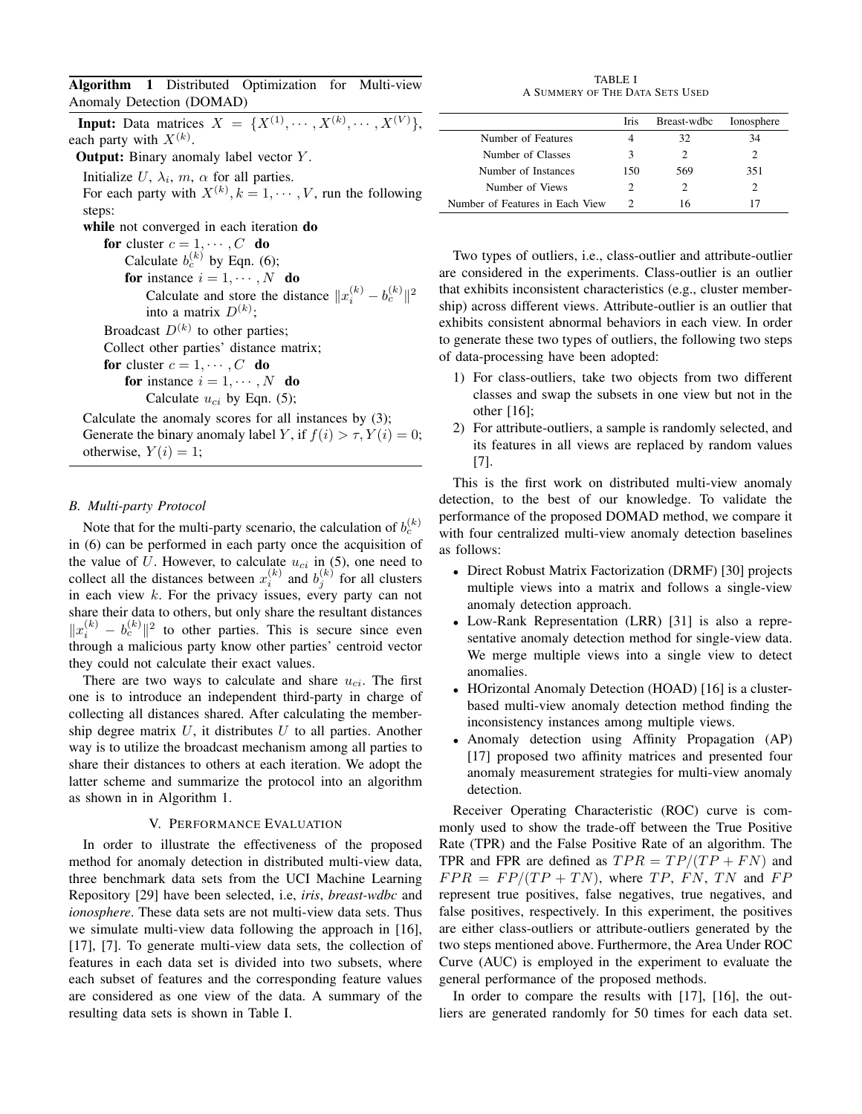Algorithm 1 Distributed Optimization for Multi-view Anomaly Detection (DOMAD)

**Input:** Data matrices  $X = \{X^{(1)}, \dots, X^{(k)}, \dots, X^{(V)}\},\$ each party with  $X^{(k)}$ . Output: Binary anomaly label vector Y. Initialize  $U, \lambda_i, m, \alpha$  for all parties. For each party with  $X^{(k)}$ ,  $k = 1, \dots, V$ , run the following steps: while not converged in each iteration do for cluster  $c = 1, \dots, C$  do Calculate  $b_c^{(k)}$  by Eqn. (6); for instance  $i = 1, \dots, N$  do Calculate and store the distance  $||x_i^{(k)} - b_c^{(k)}||^2$ into a matrix  $D^{(k)}$ ; Broadcast  $D^{(k)}$  to other parties; Collect other parties' distance matrix; for cluster  $c = 1, \dots, C$  do for instance  $i = 1, \dots, N$  do Calculate  $u_{ci}$  by Eqn. (5); Calculate the anomaly scores for all instances by (3); Generate the binary anomaly label Y, if  $f(i) > \tau$ ,  $Y(i) = 0$ ;

*B. Multi-party Protocol*

otherwise,  $Y(i) = 1$ ;

Note that for the multi-party scenario, the calculation of  $b_c^{(k)}$ in (6) can be performed in each party once the acquisition of the value of U. However, to calculate  $u_{ci}$  in (5), one need to collect all the distances between  $x_i^{(k)}$  and  $b_j^{(k)}$  for all clusters in each view  $k$ . For the privacy issues, every party can not share their data to others, but only share the resultant distances  $||x_i^{(k)} - b_c^{(k)}||^2$  to other parties. This is secure since even through a malicious party know other parties' centroid vector they could not calculate their exact values.

There are two ways to calculate and share  $u_{ci}$ . The first one is to introduce an independent third-party in charge of collecting all distances shared. After calculating the membership degree matrix  $U$ , it distributes  $U$  to all parties. Another way is to utilize the broadcast mechanism among all parties to share their distances to others at each iteration. We adopt the latter scheme and summarize the protocol into an algorithm as shown in in Algorithm 1.

## V. PERFORMANCE EVALUATION

In order to illustrate the effectiveness of the proposed method for anomaly detection in distributed multi-view data, three benchmark data sets from the UCI Machine Learning Repository [29] have been selected, i.e, *iris*, *breast-wdbc* and *ionosphere*. These data sets are not multi-view data sets. Thus we simulate multi-view data following the approach in [16], [17], [7]. To generate multi-view data sets, the collection of features in each data set is divided into two subsets, where each subset of features and the corresponding feature values are considered as one view of the data. A summary of the resulting data sets is shown in Table I.

TABLE I A SUMMERY OF THE DATA SETS USED

|                                 | Iris | Breast-wdbc | Ionosphere |
|---------------------------------|------|-------------|------------|
| Number of Features              |      | 32          | 34         |
| Number of Classes               |      |             |            |
| Number of Instances             | 150  | 569         | 351        |
| Number of Views                 |      |             |            |
| Number of Features in Each View | 2    | 16          |            |

Two types of outliers, i.e., class-outlier and attribute-outlier are considered in the experiments. Class-outlier is an outlier that exhibits inconsistent characteristics (e.g., cluster membership) across different views. Attribute-outlier is an outlier that exhibits consistent abnormal behaviors in each view. In order to generate these two types of outliers, the following two steps of data-processing have been adopted:

- 1) For class-outliers, take two objects from two different classes and swap the subsets in one view but not in the other  $[16]$ ;
- 2) For attribute-outliers, a sample is randomly selected, and its features in all views are replaced by random values [7].

This is the first work on distributed multi-view anomaly detection, to the best of our knowledge. To validate the performance of the proposed DOMAD method, we compare it with four centralized multi-view anomaly detection baselines as follows:

- Direct Robust Matrix Factorization (DRMF) [30] projects multiple views into a matrix and follows a single-view anomaly detection approach.
- Low-Rank Representation (LRR) [31] is also a representative anomaly detection method for single-view data. We merge multiple views into a single view to detect anomalies.
- HOrizontal Anomaly Detection (HOAD) [16] is a clusterbased multi-view anomaly detection method finding the inconsistency instances among multiple views.
- Anomaly detection using Affinity Propagation (AP) [17] proposed two affinity matrices and presented four anomaly measurement strategies for multi-view anomaly detection.

Receiver Operating Characteristic (ROC) curve is commonly used to show the trade-off between the True Positive Rate (TPR) and the False Positive Rate of an algorithm. The TPR and FPR are defined as  $TPR = TP/(TP + FN)$  and  $FPR = FP/(TP + TN)$ , where TP, FN, TN and FP represent true positives, false negatives, true negatives, and false positives, respectively. In this experiment, the positives are either class-outliers or attribute-outliers generated by the two steps mentioned above. Furthermore, the Area Under ROC Curve (AUC) is employed in the experiment to evaluate the general performance of the proposed methods.

In order to compare the results with [17], [16], the outliers are generated randomly for 50 times for each data set.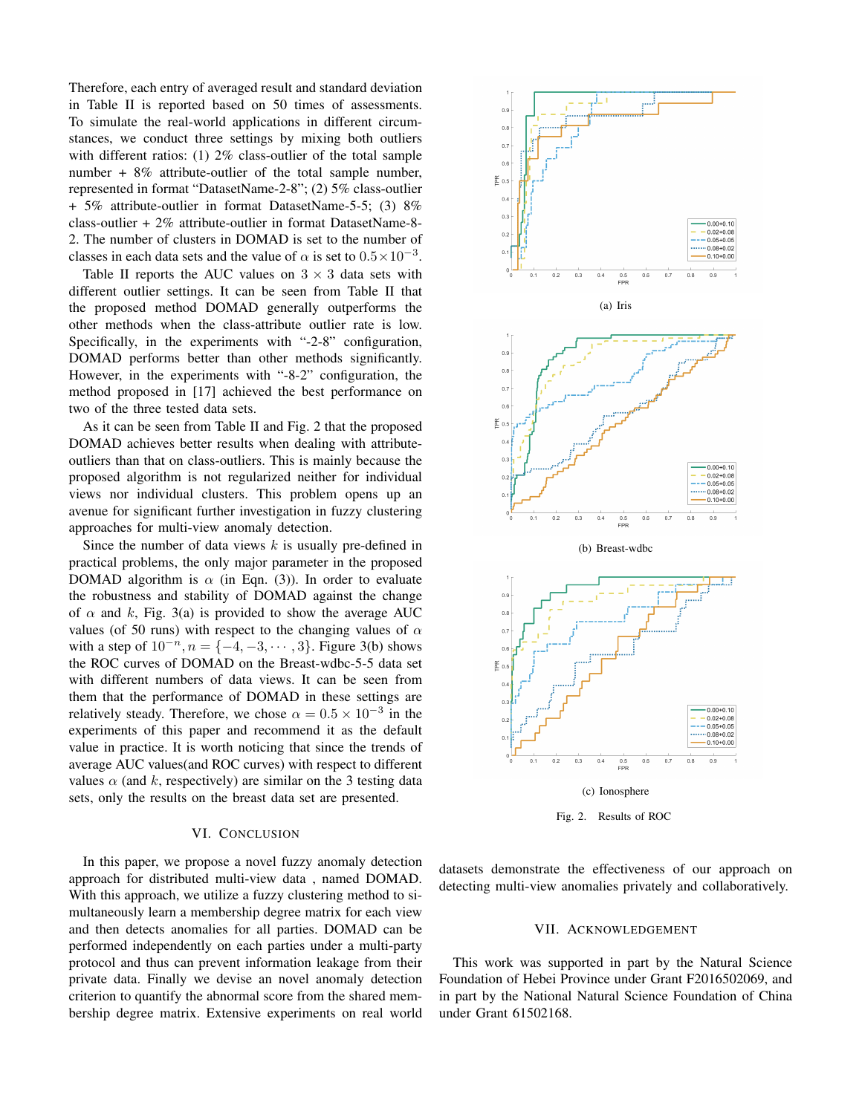Therefore, each entry of averaged result and standard deviation in Table II is reported based on 50 times of assessments. To simulate the real-world applications in different circumstances, we conduct three settings by mixing both outliers with different ratios: (1) 2% class-outlier of the total sample number + 8% attribute-outlier of the total sample number, represented in format "DatasetName-2-8"; (2) 5% class-outlier + 5% attribute-outlier in format DatasetName-5-5; (3) 8% class-outlier + 2% attribute-outlier in format DatasetName-8- 2. The number of clusters in DOMAD is set to the number of classes in each data sets and the value of  $\alpha$  is set to  $0.5 \times 10^{-3}$ .

Table II reports the AUC values on  $3 \times 3$  data sets with different outlier settings. It can be seen from Table II that the proposed method DOMAD generally outperforms the other methods when the class-attribute outlier rate is low. Specifically, in the experiments with "-2-8" configuration, DOMAD performs better than other methods significantly. However, in the experiments with "-8-2" configuration, the method proposed in [17] achieved the best performance on two of the three tested data sets.

As it can be seen from Table II and Fig. 2 that the proposed DOMAD achieves better results when dealing with attributeoutliers than that on class-outliers. This is mainly because the proposed algorithm is not regularized neither for individual views nor individual clusters. This problem opens up an avenue for significant further investigation in fuzzy clustering approaches for multi-view anomaly detection.

Since the number of data views  $k$  is usually pre-defined in practical problems, the only major parameter in the proposed DOMAD algorithm is  $\alpha$  (in Eqn. (3)). In order to evaluate the robustness and stability of DOMAD against the change of  $\alpha$  and k, Fig. 3(a) is provided to show the average AUC values (of 50 runs) with respect to the changing values of  $\alpha$ with a step of  $10^{-n}$ ,  $n = \{-4, -3, \dots, 3\}$ . Figure 3(b) shows the ROC curves of DOMAD on the Breast-wdbc-5-5 data set with different numbers of data views. It can be seen from them that the performance of DOMAD in these settings are relatively steady. Therefore, we chose  $\alpha = 0.5 \times 10^{-3}$  in the experiments of this paper and recommend it as the default value in practice. It is worth noticing that since the trends of average AUC values(and ROC curves) with respect to different values  $\alpha$  (and k, respectively) are similar on the 3 testing data sets, only the results on the breast data set are presented.

## VI. CONCLUSION

In this paper, we propose a novel fuzzy anomaly detection approach for distributed multi-view data , named DOMAD. With this approach, we utilize a fuzzy clustering method to simultaneously learn a membership degree matrix for each view and then detects anomalies for all parties. DOMAD can be performed independently on each parties under a multi-party protocol and thus can prevent information leakage from their private data. Finally we devise an novel anomaly detection criterion to quantify the abnormal score from the shared membership degree matrix. Extensive experiments on real world



Fig. 2. Results of ROC

datasets demonstrate the effectiveness of our approach on detecting multi-view anomalies privately and collaboratively.

## VII. ACKNOWLEDGEMENT

This work was supported in part by the Natural Science Foundation of Hebei Province under Grant F2016502069, and in part by the National Natural Science Foundation of China under Grant 61502168.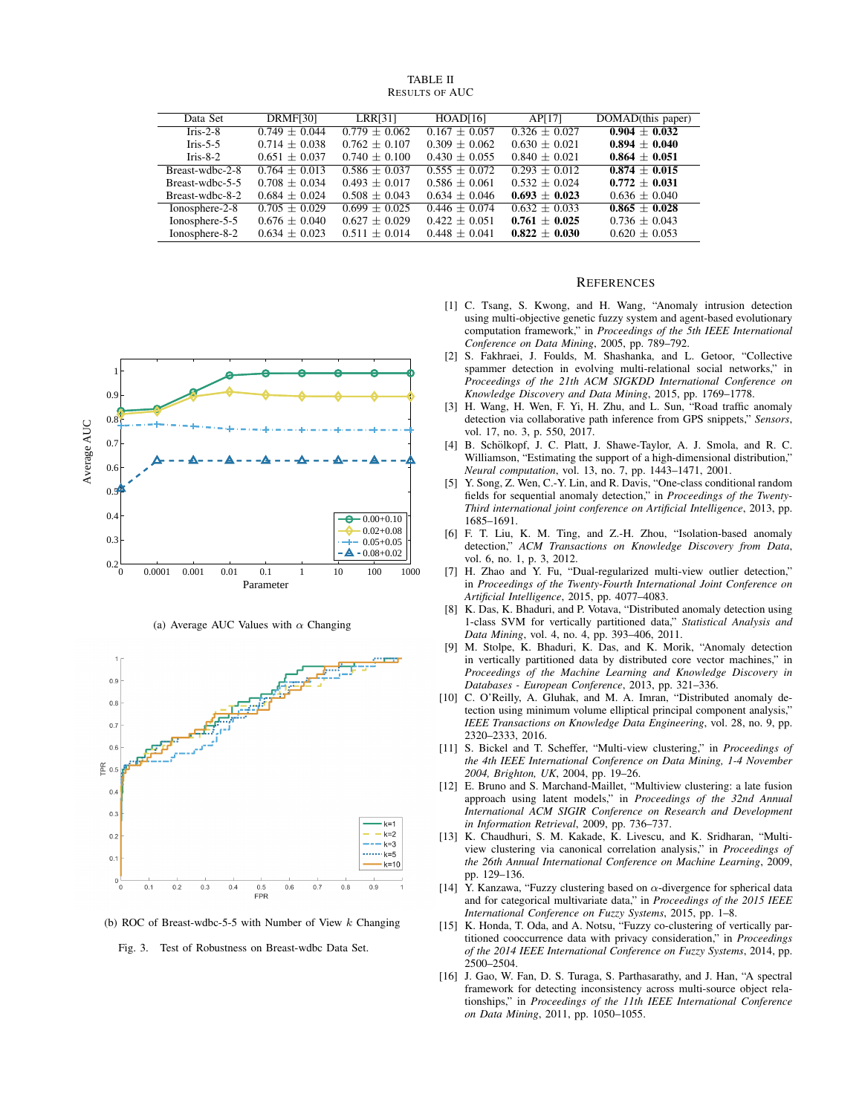TABLE II RESULTS OF AUC

| Data Set        | <b>DRMF[30]</b>   | LRR[31]         | HOAD[16]        | AP[17]          | DOMAD(this paper) |
|-----------------|-------------------|-----------------|-----------------|-----------------|-------------------|
| $Iris-2-8$      | $0.749 \pm 0.044$ | $0.779 + 0.062$ | $0.167 + 0.057$ | $0.326 + 0.027$ | $0.904 + 0.032$   |
| Iris- $5-5$     | $0.714 + 0.038$   | $0.762 + 0.107$ | $0.309 + 0.062$ | $0.630 + 0.021$ | $0.894 + 0.040$   |
| $Iris-8-2$      | $0.651 + 0.037$   | $0.740 + 0.100$ | $0.430 + 0.055$ | $0.840 + 0.021$ | $0.864 + 0.051$   |
| Breast-wdbc-2-8 | $0.764 + 0.013$   | $0.586 + 0.037$ | $0.555 + 0.072$ | $0.293 + 0.012$ | $0.874 + 0.015$   |
| Breast-wdbc-5-5 | $0.708 + 0.034$   | $0.493 + 0.017$ | $0.586 + 0.061$ | $0.532 + 0.024$ | $0.772 + 0.031$   |
| Breast-wdbc-8-2 | $0.684 + 0.024$   | $0.508 + 0.043$ | $0.634 + 0.046$ | $0.693 + 0.023$ | $0.636 + 0.040$   |
| Ionosphere-2-8  | $0.705 \pm 0.029$ | $0.699 + 0.025$ | $0.446 + 0.074$ | $0.632 + 0.033$ | $0.865 + 0.028$   |
| Ionosphere-5-5  | $0.676 + 0.040$   | $0.627 + 0.029$ | $0.422 + 0.051$ | $0.761 + 0.025$ | $0.736 + 0.043$   |
| Ionosphere-8-2  | $0.634 \pm 0.023$ | $0.511 + 0.014$ | $0.448 + 0.041$ | $0.822 + 0.030$ | $0.620 \pm 0.053$ |
|                 |                   |                 |                 |                 |                   |



(a) Average AUC Values with  $\alpha$  Changing



(b) ROC of Breast-wdbc-5-5 with Number of View  $k$  Changing

Fig. 3. Test of Robustness on Breast-wdbc Data Set.

### **REFERENCES**

- [1] C. Tsang, S. Kwong, and H. Wang, "Anomaly intrusion detection using multi-objective genetic fuzzy system and agent-based evolutionary computation framework," in *Proceedings of the 5th IEEE International Conference on Data Mining*, 2005, pp. 789–792.
- [2] S. Fakhraei, J. Foulds, M. Shashanka, and L. Getoor, "Collective spammer detection in evolving multi-relational social networks," in *Proceedings of the 21th ACM SIGKDD International Conference on Knowledge Discovery and Data Mining*, 2015, pp. 1769–1778.
- [3] H. Wang, H. Wen, F. Yi, H. Zhu, and L. Sun, "Road traffic anomaly detection via collaborative path inference from GPS snippets," *Sensors*, vol. 17, no. 3, p. 550, 2017.
- [4] B. Schölkopf, J. C. Platt, J. Shawe-Taylor, A. J. Smola, and R. C. Williamson, "Estimating the support of a high-dimensional distribution," *Neural computation*, vol. 13, no. 7, pp. 1443–1471, 2001.
- [5] Y. Song, Z. Wen, C.-Y. Lin, and R. Davis, "One-class conditional random fields for sequential anomaly detection," in *Proceedings of the Twenty-Third international joint conference on Artificial Intelligence*, 2013, pp. 1685–1691.
- [6] F. T. Liu, K. M. Ting, and Z.-H. Zhou, "Isolation-based anomaly detection," *ACM Transactions on Knowledge Discovery from Data*, vol. 6, no. 1, p. 3, 2012.
- [7] H. Zhao and Y. Fu, "Dual-regularized multi-view outlier detection," in *Proceedings of the Twenty-Fourth International Joint Conference on Artificial Intelligence*, 2015, pp. 4077–4083.
- [8] K. Das, K. Bhaduri, and P. Votava, "Distributed anomaly detection using 1-class SVM for vertically partitioned data," *Statistical Analysis and Data Mining*, vol. 4, no. 4, pp. 393–406, 2011.
- [9] M. Stolpe, K. Bhaduri, K. Das, and K. Morik, "Anomaly detection in vertically partitioned data by distributed core vector machines," in *Proceedings of the Machine Learning and Knowledge Discovery in Databases - European Conference*, 2013, pp. 321–336.
- [10] C. O'Reilly, A. Gluhak, and M. A. Imran, "Distributed anomaly detection using minimum volume elliptical principal component analysis," *IEEE Transactions on Knowledge Data Engineering*, vol. 28, no. 9, pp. 2320–2333, 2016.
- [11] S. Bickel and T. Scheffer, "Multi-view clustering," in *Proceedings of the 4th IEEE International Conference on Data Mining, 1-4 November 2004, Brighton, UK*, 2004, pp. 19–26.
- [12] E. Bruno and S. Marchand-Maillet, "Multiview clustering: a late fusion approach using latent models," in *Proceedings of the 32nd Annual International ACM SIGIR Conference on Research and Development in Information Retrieval*, 2009, pp. 736–737.
- [13] K. Chaudhuri, S. M. Kakade, K. Livescu, and K. Sridharan, "Multiview clustering via canonical correlation analysis," in *Proceedings of the 26th Annual International Conference on Machine Learning*, 2009, pp. 129–136.
- [14] Y. Kanzawa, "Fuzzy clustering based on  $\alpha$ -divergence for spherical data and for categorical multivariate data," in *Proceedings of the 2015 IEEE International Conference on Fuzzy Systems*, 2015, pp. 1–8.
- [15] K. Honda, T. Oda, and A. Notsu, "Fuzzy co-clustering of vertically partitioned cooccurrence data with privacy consideration," in *Proceedings of the 2014 IEEE International Conference on Fuzzy Systems*, 2014, pp. 2500–2504.
- [16] J. Gao, W. Fan, D. S. Turaga, S. Parthasarathy, and J. Han, "A spectral framework for detecting inconsistency across multi-source object relationships," in *Proceedings of the 11th IEEE International Conference on Data Mining*, 2011, pp. 1050–1055.